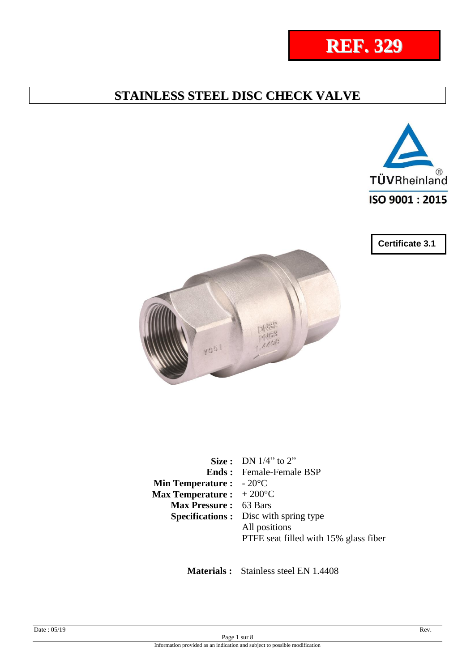



**Certificate 3.1**



|                                           | <b>Size</b> : DN $1/4$ " to 2"                |
|-------------------------------------------|-----------------------------------------------|
|                                           | <b>Ends:</b> Female-Female BSP                |
| <b>Min Temperature :</b> $-20^{\circ}$ C  |                                               |
| <b>Max Temperature :</b> $+200^{\circ}$ C |                                               |
| Max Pressure: 63 Bars                     |                                               |
|                                           | <b>Specifications :</b> Disc with spring type |
|                                           | All positions                                 |
|                                           | PTFE seat filled with 15% glass fiber         |

 **Materials :** Stainless steel EN 1.4408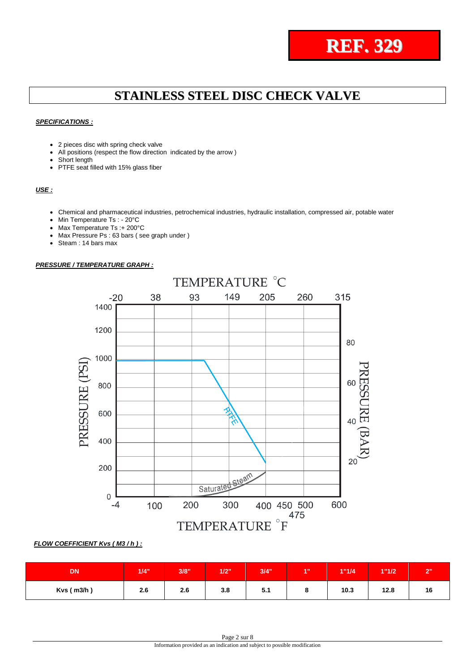

#### *SPECIFICATIONS :*

- 2 pieces disc with spring check valve
- All positions (respect the flow direction indicated by the arrow )
- Short length
- PTFE seat filled with 15% glass fiber

#### *USE :*

- Chemical and pharmaceutical industries, petrochemical industries, hydraulic installation, compressed air, potable water
- Min Temperature Ts : 20°C
- Max Temperature Ts :+ 200°C
- Max Pressure Ps : 63 bars ( see graph under )
- Steam : 14 bars max

#### *PRESSURE / TEMPERATURE GRAPH :*



#### *FLOW COEFFICIENT Kvs ( M3 / h ) :*

| <b>DN</b>      | 1/4" | 3/8" | 1/2" | 3/4" | <b>A.H.</b> | 1"1/4 | 1"1/2 | $\sim$ |
|----------------|------|------|------|------|-------------|-------|-------|--------|
| $Kvs$ ( m3/h ) | 2.6  | 2.6  | 3.8  | 5.1  |             | 10.3  | 12.8  | 16     |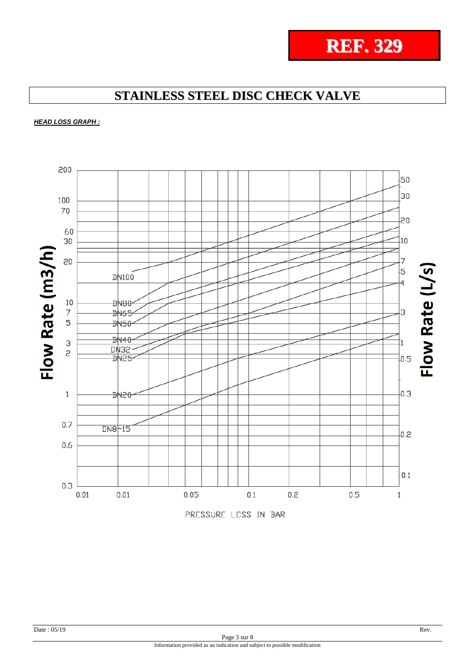

**REF. 329**

## **STAINLESS STEEL DISC CHECK VALVE**

*HEAD LOSS GRAPH :*

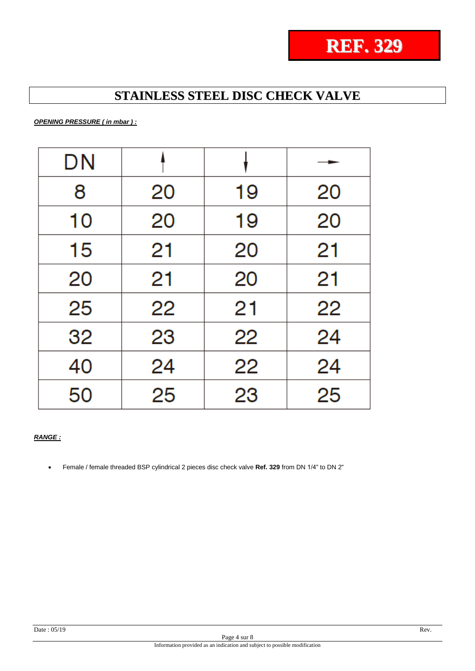

*OPENING PRESSURE ( in mbar ) :*

| DN |    |    |    |
|----|----|----|----|
| 8  | 20 | 19 | 20 |
| 10 | 20 | 19 | 20 |
| 15 | 21 | 20 | 21 |
| 20 | 21 | 20 | 21 |
| 25 | 22 | 21 | 22 |
| 32 | 23 | 22 | 24 |
| 40 | 24 | 22 | 24 |
| 50 | 25 | 23 | 25 |

#### *RANGE :*

Female / female threaded BSP cylindrical 2 pieces disc check valve **Ref. 329** from DN 1/4" to DN 2"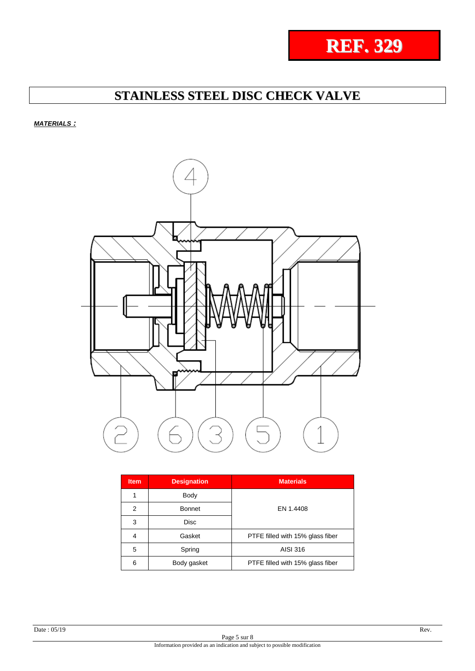

*MATERIALS :*



| <b>Item</b> | <b>Designation</b> | <b>Materials</b>                 |
|-------------|--------------------|----------------------------------|
|             | Body               |                                  |
| 2           | <b>Bonnet</b>      | EN 1.4408                        |
| 3           | <b>Disc</b>        |                                  |
| 4           | Gasket             | PTFE filled with 15% glass fiber |
| 5           | Spring             | AISI 316                         |
| 6           | Body gasket        | PTFE filled with 15% glass fiber |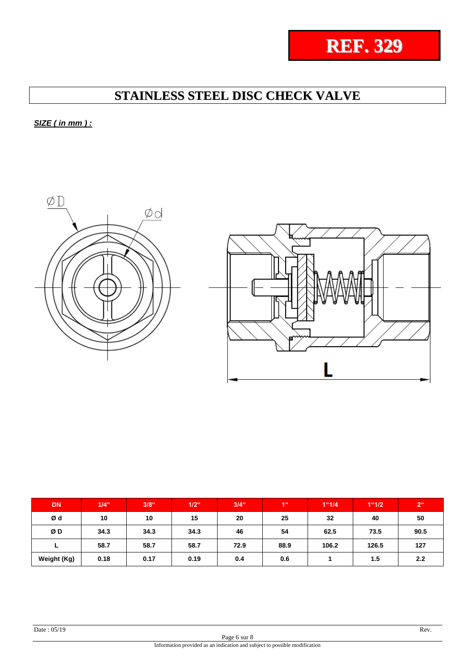

*SIZE ( in mm ) :*



| <b>DN</b>   | 1/4" | $3/8$ <sup>"</sup> | $1/2$ <sup>"</sup> | $3/4$ <sup>"</sup> | 46   | 1"1/4 | 1"1/2 | 2 <sup>ii</sup> |
|-------------|------|--------------------|--------------------|--------------------|------|-------|-------|-----------------|
| Ød          | 10   | 10                 | 15                 | 20                 | 25   | 32    | 40    | 50              |
| ØD          | 34.3 | 34.3               | 34.3               | 46                 | 54   | 62.5  | 73.5  | 90.5            |
|             | 58.7 | 58.7               | 58.7               | 72.9               | 88.9 | 106.2 | 126.5 | 127             |
| Weight (Kg) | 0.18 | 0.17               | 0.19               | 0.4                | 0.6  |       | 1.5   | 2.2             |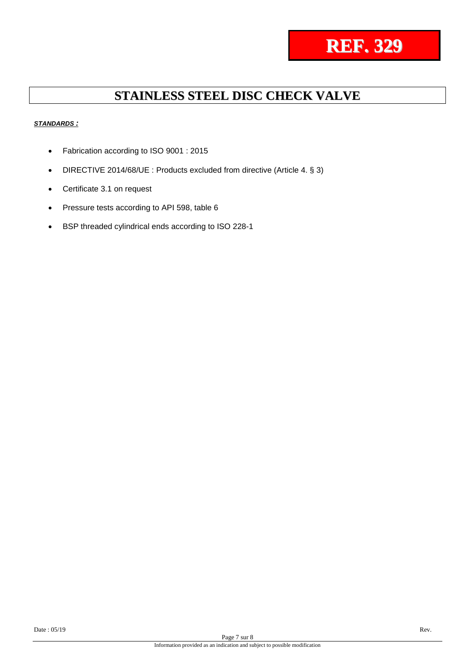

#### *STANDARDS :*

- Fabrication according to ISO 9001 : 2015
- DIRECTIVE 2014/68/UE : Products excluded from directive (Article 4. § 3)
- Certificate 3.1 on request
- Pressure tests according to API 598, table 6
- BSP threaded cylindrical ends according to ISO 228-1